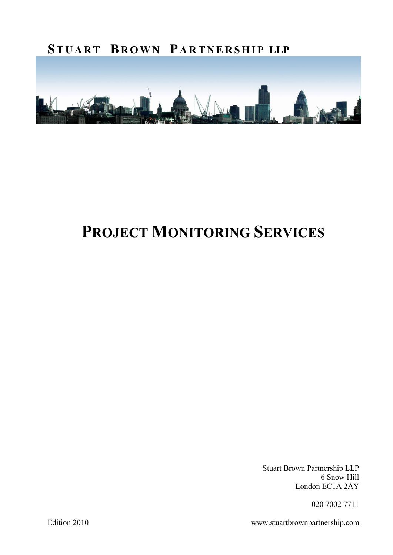

# PROJECT MONITORING SERVICES

Stuart Brown Partnership LLP 6 Snow Hill London EC1A 2AY

020 7002 7711

Edition 2010 www.stuartbrownpartnership.com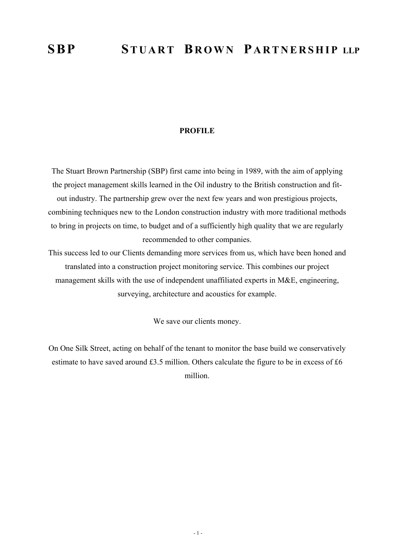#### PROFILE

The Stuart Brown Partnership (SBP) first came into being in 1989, with the aim of applying the project management skills learned in the Oil industry to the British construction and fitout industry. The partnership grew over the next few years and won prestigious projects, combining techniques new to the London construction industry with more traditional methods to bring in projects on time, to budget and of a sufficiently high quality that we are regularly recommended to other companies.

This success led to our Clients demanding more services from us, which have been honed and translated into a construction project monitoring service. This combines our project management skills with the use of independent unaffiliated experts in M&E, engineering, surveying, architecture and acoustics for example.

We save our clients money.

On One Silk Street, acting on behalf of the tenant to monitor the base build we conservatively estimate to have saved around £3.5 million. Others calculate the figure to be in excess of £6 million.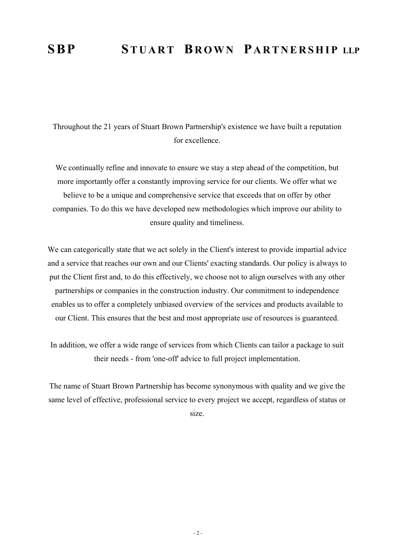Throughout the 21 years of Stuart Brown Partnership's existence we have built a reputation for excellence.

We continually refine and innovate to ensure we stay a step ahead of the competition, but more importantly offer a constantly improving service for our clients. We offer what we believe to be a unique and comprehensive service that exceeds that on offer by other companies. To do this we have developed new methodologies which improve our ability to ensure quality and timeliness.

We can categorically state that we act solely in the Client's interest to provide impartial advice and a service that reaches our own and our Clients' exacting standards. Our policy is always to put the Client first and, to do this effectively, we choose not to align ourselves with any other partnerships or companies in the construction industry. Our commitment to independence enables us to offer a completely unbiased overview of the services and products available to our Client. This ensures that the best and most appropriate use of resources is guaranteed.

In addition, we offer a wide range of services from which Clients can tailor a package to suit their needs - from 'one-off' advice to full project implementation.

The name of Stuart Brown Partnership has become synonymous with quality and we give the same level of effective, professional service to every project we accept, regardless of status or

size.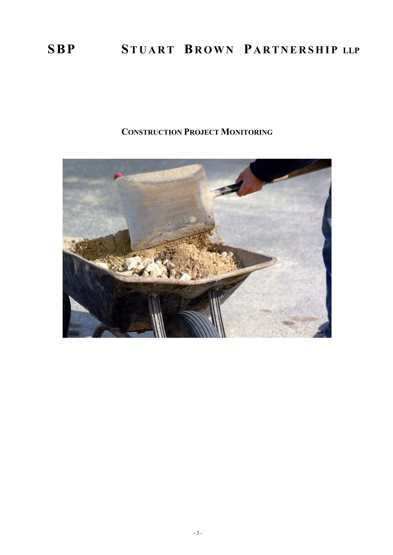### CONSTRUCTION PROJECT MONITORING

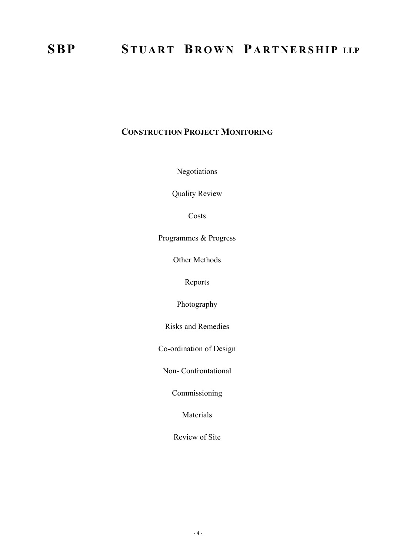### CONSTRUCTION PROJECT MONITORING

Negotiations

Quality Review

Costs

Programmes & Progress

Other Methods

Reports

Photography

Risks and Remedies

Co-ordination of Design

Non- Confrontational

Commissioning

Materials

Review of Site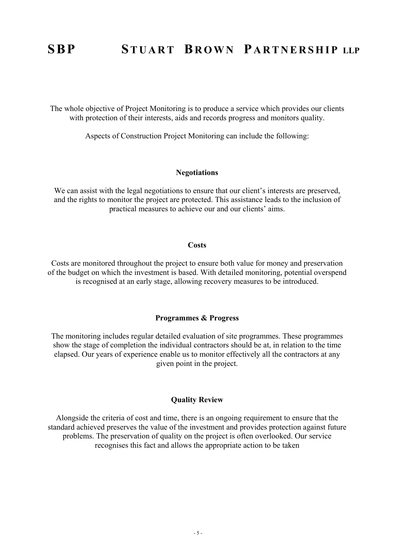The whole objective of Project Monitoring is to produce a service which provides our clients with protection of their interests, aids and records progress and monitors quality.

Aspects of Construction Project Monitoring can include the following:

#### Negotiations

We can assist with the legal negotiations to ensure that our client's interests are preserved, and the rights to monitor the project are protected. This assistance leads to the inclusion of practical measures to achieve our and our clients' aims.

#### **Costs**

Costs are monitored throughout the project to ensure both value for money and preservation of the budget on which the investment is based. With detailed monitoring, potential overspend is recognised at an early stage, allowing recovery measures to be introduced.

#### Programmes & Progress

The monitoring includes regular detailed evaluation of site programmes. These programmes show the stage of completion the individual contractors should be at, in relation to the time elapsed. Our years of experience enable us to monitor effectively all the contractors at any given point in the project.

#### Quality Review

Alongside the criteria of cost and time, there is an ongoing requirement to ensure that the standard achieved preserves the value of the investment and provides protection against future problems. The preservation of quality on the project is often overlooked. Our service recognises this fact and allows the appropriate action to be taken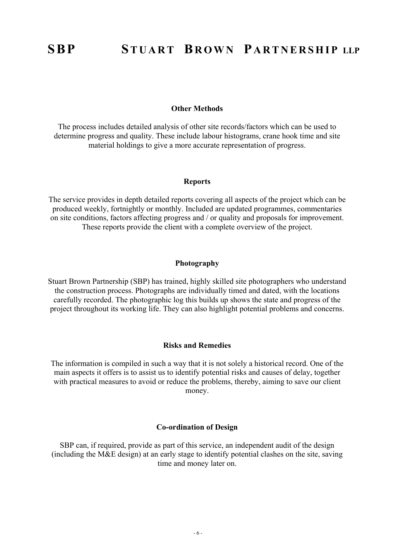#### Other Methods

The process includes detailed analysis of other site records/factors which can be used to determine progress and quality. These include labour histograms, crane hook time and site material holdings to give a more accurate representation of progress.

#### Reports

The service provides in depth detailed reports covering all aspects of the project which can be produced weekly, fortnightly or monthly. Included are updated programmes, commentaries on site conditions, factors affecting progress and / or quality and proposals for improvement. These reports provide the client with a complete overview of the project.

#### Photography

Stuart Brown Partnership (SBP) has trained, highly skilled site photographers who understand the construction process. Photographs are individually timed and dated, with the locations carefully recorded. The photographic log this builds up shows the state and progress of the project throughout its working life. They can also highlight potential problems and concerns.

#### Risks and Remedies

The information is compiled in such a way that it is not solely a historical record. One of the main aspects it offers is to assist us to identify potential risks and causes of delay, together with practical measures to avoid or reduce the problems, thereby, aiming to save our client money.

#### Co-ordination of Design

SBP can, if required, provide as part of this service, an independent audit of the design (including the M&E design) at an early stage to identify potential clashes on the site, saving time and money later on.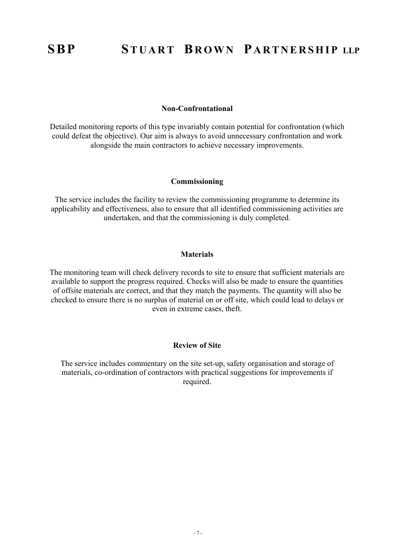#### Non-Confrontational

Detailed monitoring reports of this type invariably contain potential for confrontation (which could defeat the objective). Our aim is always to avoid unnecessary confrontation and work alongside the main contractors to achieve necessary improvements.

#### Commissioning

The service includes the facility to review the commissioning programme to determine its applicability and effectiveness, also to ensure that all identified commissioning activities are undertaken, and that the commissioning is duly completed.

#### **Materials**

The monitoring team will check delivery records to site to ensure that sufficient materials are available to support the progress required. Checks will also be made to ensure the quantities of offsite materials are correct, and that they match the payments. The quantity will also be checked to ensure there is no surplus of material on or off site, which could lead to delays or even in extreme cases, theft.

#### Review of Site

The service includes commentary on the site set-up, safety organisation and storage of materials, co-ordination of contractors with practical suggestions for improvements if required.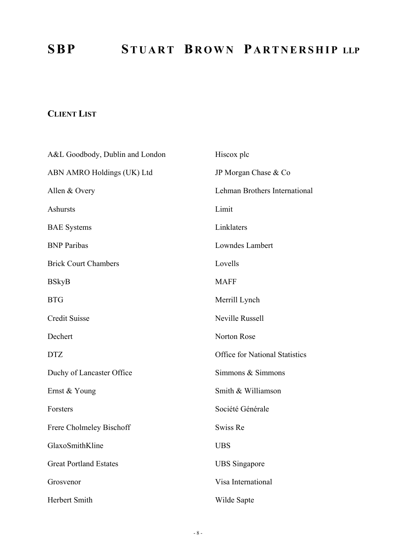### CLIENT LIST

| A&L Goodbody, Dublin and London | Hiscox plc                            |
|---------------------------------|---------------------------------------|
| ABN AMRO Holdings (UK) Ltd      | JP Morgan Chase & Co                  |
| Allen & Overy                   | Lehman Brothers International         |
| Ashursts                        | Limit                                 |
| <b>BAE</b> Systems              | Linklaters                            |
| <b>BNP</b> Paribas              | Lowndes Lambert                       |
| <b>Brick Court Chambers</b>     | Lovells                               |
| <b>BSkyB</b>                    | <b>MAFF</b>                           |
| <b>BTG</b>                      | Merrill Lynch                         |
| <b>Credit Suisse</b>            | Neville Russell                       |
| Dechert                         | Norton Rose                           |
| <b>DTZ</b>                      | <b>Office for National Statistics</b> |
| Duchy of Lancaster Office       | Simmons & Simmons                     |
| Ernst & Young                   | Smith & Williamson                    |
| Forsters                        | Société Générale                      |
| Frere Cholmeley Bischoff        | Swiss Re                              |
| GlaxoSmithKline                 | <b>UBS</b>                            |
| <b>Great Portland Estates</b>   | <b>UBS</b> Singapore                  |
| Grosvenor                       | Visa International                    |
| Herbert Smith                   | Wilde Sapte                           |